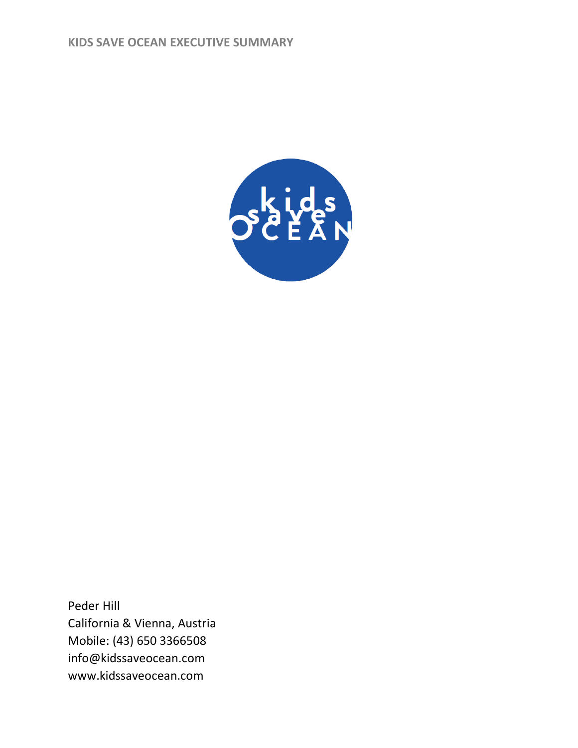

Peder Hill California & Vienna, Austria Mobile: (43) 650 3366508 info@kidssaveocean.com www.kidssaveocean.com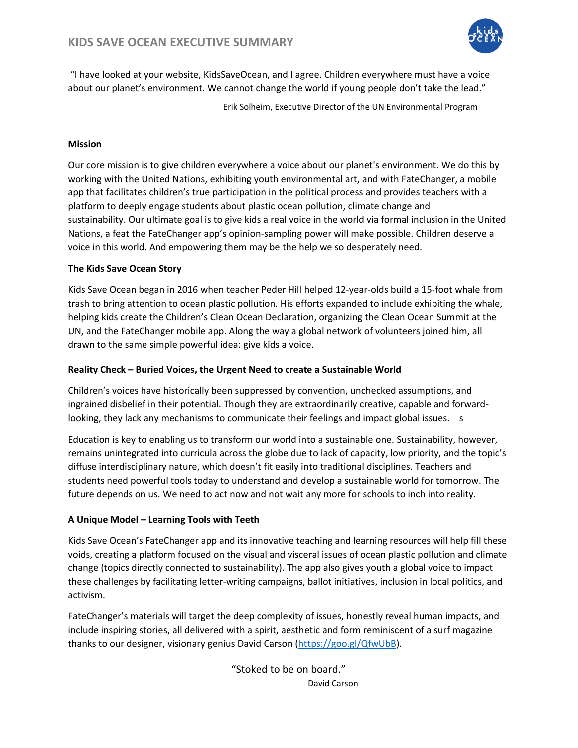

"I have looked at your website, KidsSaveOcean, and I agree. Children everywhere must have a voice about our planet's environment. We cannot change the world if young people don't take the lead."

Erik Solheim, Executive Director of the UN Environmental Program

### **Mission**

Our core mission is to give children everywhere a voice about our planet's environment. We do this by working with the United Nations, exhibiting youth environmental art, and with FateChanger, a mobile app that facilitates children's true participation in the political process and provides teachers with a platform to deeply engage students about plastic ocean pollution, climate change and sustainability. Our ultimate goal is to give kids a real voice in the world via formal inclusion in the United Nations, a feat the FateChanger app's opinion-sampling power will make possible. Children deserve a voice in this world. And empowering them may be the help we so desperately need.

#### **The Kids Save Ocean Story**

Kids Save Ocean began in 2016 when teacher Peder Hill helped 12-year-olds build a 15-foot whale from trash to bring attention to ocean plastic pollution. His efforts expanded to include exhibiting the whale, helping kids create the Children's Clean Ocean Declaration, organizing the Clean Ocean Summit at the UN, and the FateChanger mobile app. Along the way a global network of volunteers joined him, all drawn to the same simple powerful idea: give kids a voice.

### **Reality Check – Buried Voices, the Urgent Need to create a Sustainable World**

Children's voices have historically been suppressed by convention, unchecked assumptions, and ingrained disbelief in their potential. Though they are extraordinarily creative, capable and forwardlooking, they lack any mechanisms to communicate their feelings and impact global issues. s

Education is key to enabling us to transform our world into a sustainable one. Sustainability, however, remains unintegrated into curricula across the globe due to lack of capacity, low priority, and the topic's diffuse interdisciplinary nature, which doesn't fit easily into traditional disciplines. Teachers and students need powerful tools today to understand and develop a sustainable world for tomorrow. The future depends on us. We need to act now and not wait any more for schools to inch into reality.

### **A Unique Model – Learning Tools with Teeth**

Kids Save Ocean's FateChanger app and its innovative teaching and learning resources will help fill these voids, creating a platform focused on the visual and visceral issues of ocean plastic pollution and climate change (topics directly connected to sustainability). The app also gives youth a global voice to impact these challenges by facilitating letter-writing campaigns, ballot initiatives, inclusion in local politics, and activism.

FateChanger's materials will target the deep complexity of issues, honestly reveal human impacts, and include inspiring stories, all delivered with a spirit, aesthetic and form reminiscent of a surf magazine thanks to our designer, visionary genius David Carson [\(https://goo.gl/QfwUbB\)](https://goo.gl/QfwUbB).

> "Stoked to be on board." David Carson